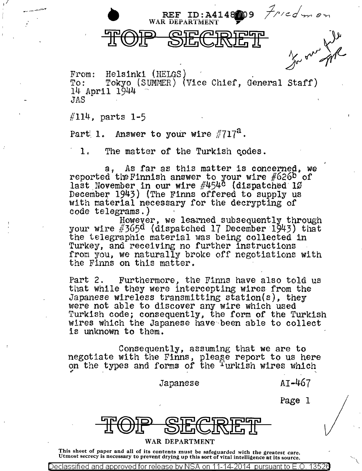REF ID: A414809  $f$ *red* m on

From: Helsinki (HELGS)<br>To: Tokyo (SUMMER) (Vice<br>14 April 1944 ~ Chief, General Staff) *JAS* 

 $\sqrt{114}$ , parts 1-5

~/

Part 1. Answer to your wire  $\#717^a$ .

1. The matter of the Turkish codes.

a, As far as this matter is concerned, we reported the Finnish answer to your wire  $#626<sup>b</sup>$  of last November in our wire  $\#454^{\circ}$  (dispatched 10 December 1943) (The Finns offered to supply us with material necessary for the decrypting of code telegrams.)

However, we learned subsequently through your wire  $\#365d$  (dispatched 17 December 1943) that the telegraphic material was being collected 1n Turkey, and receiving no further instructions from you, we naturally broke off negotiations with the Finns on this matter.

Part 2. Furthermore, the Finns have also told us that while they were intercepting wires- from the Japanese wireless transmitting station(s), they were not able to discover any wire which used Turkish code; consequently, the form of the Turkish wires which the Japanese have been able to collect is unknown to them.

Consequently, assuming that we are to negotiate with the Finns, pleage report to us here on the types and forms *of* the 1 urkish wires which  $^{\prime}$ 

Japanese AI-467

Page l

 $\checkmark$ 

## WAR DEPARTMENT

This sheet of paper and all of its contents must be safeguarded with the greatest care.<br>Utmost secrecy is necessary to prevent drying up this sort of vital intelligence at its source.

Declassified and approved for release by NSA on 11-14-2014  $\,$  pursuant to E.O.  $\,$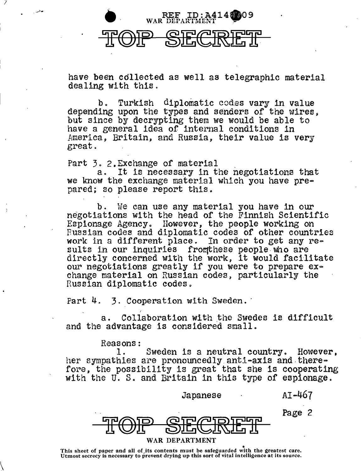

have been cdllected as well as telegraphic material dealing with this.

b. Turkish diplomatic codes vary in value depending upon the types and senders of the wires, but since by decrypting them we would be able to have a general idea of internal conditions in America, Britain, and Russia, their value is very great.

1

 $\setminus$ 

Part  $\overline{3}$ . 2. Exchange of material  $\overline{a}$ . It is necessary in the negotiations that we know the exchange material which you have pre-<br>pared; so please report this.

b. We can use any material you have in our negotiations with the head of the Finnish Scientific Espionage Agency. However, the people working on Russian codes and diplomatic codes of other countries work in a different place. In order to get any results in our inquiries from these people who are directly concerned with the work, it would facilitate our negotiations greatly if you were to prepare exchange material on Russian codes, particularly the Russian diplomatic codes.

Part 4. 3. Cooperation with Sweden.

f

a. Collaboration with the Swedes is difficult and the advantage is considered small.

Reasons:<br>1.

Sweden is a neutral country. However, her sympathies are pronouncedly anti-axis and therefore, the possibility is great that she is cooperating with the U.S. and Britain in this type of espionage.

Japanese

AI-467

Page 2



## WAR DEPARTMENT

This sheet of paper and all of its contents must be safeguarded with the greatest care.<br>Utmost secrecy is necessary to prevent drying up this sort of vital intelligence at its source.